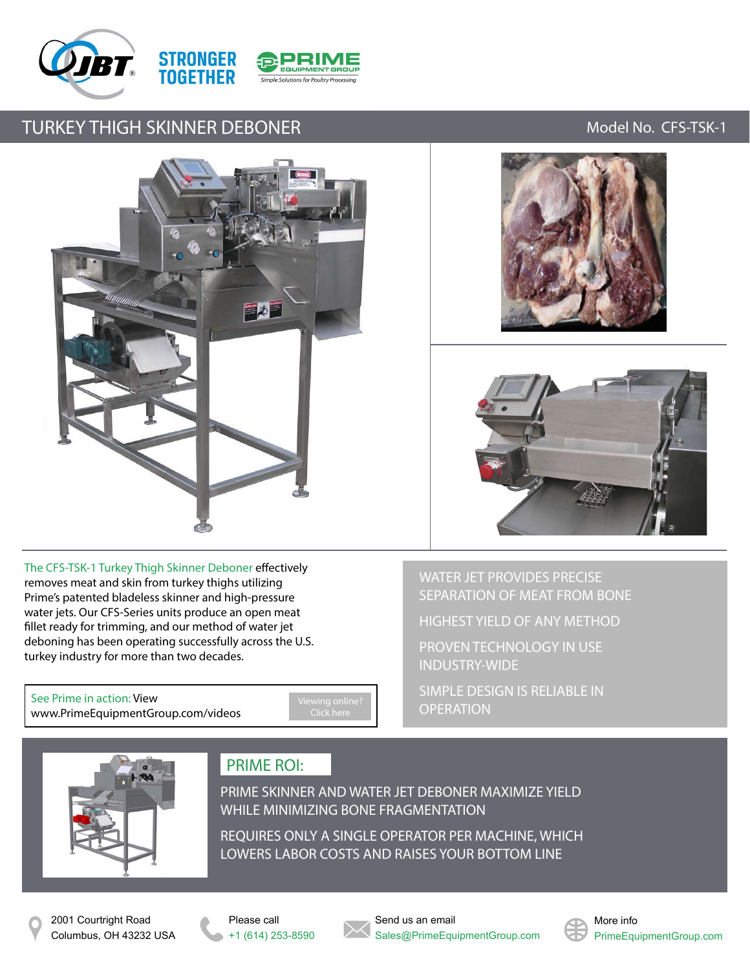



### TURKEY THIGH SKINNER DEBONER MODEL AND THE MODEL MODEL NO. CFS-TSK-1





The CFS-TSK-1 Turkey Thigh Skinner Deboner effectively removes meat and skin from turkey thighs utilizing Prime's patented bladeless skinner and high-pressure water jets. Our CFS-Series units produce an open meat fillet ready for trimming, and our method of water jet deboning has been operating successfully across the U.S. turkey industry for more than two decades.

See Prime in action: View [www.PrimeEquipmentGroup.com/videos](http://www.primeequipmentgroup.com/videos)

WATER JET PROVIDES PRECISE SEPARATION OF MEAT FROM BONE

HIGHEST YIELD OF ANY METHOD

PROVEN TECHNOLOGY IN USE INDUSTRY-WIDE

SIMPLE DESIGN IS RELIABLE IN **OPERATION** 



## PRIME ROI:

PRIME SKINNER AND WATER JET DEBONER MAXIMIZE YIELD WHILE MINIMIZING BONE FRAGMENTATION

REQUIRES ONLY A SINGLE OPERATOR PER MACHINE, WHICH LOWERS LABOR COSTS AND RAISES YOUR BOTTOM LINE